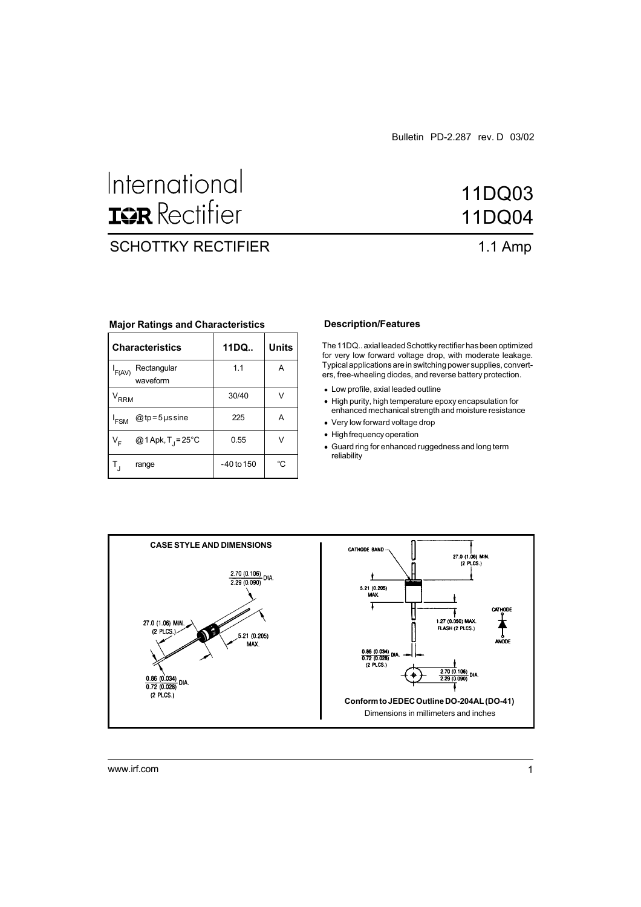# International **IGR** Rectifier

### SCHOTTKY RECTIFIER 1.1 Amp

## 11DQ03 11DQ04

#### **Major Ratings and Characteristics**

| <b>Characteristics</b>                        | 11DQ         | Units |
|-----------------------------------------------|--------------|-------|
| Rectangular<br>$I_{F(AV)}$<br>waveform        | 1.1          | А     |
| <b>RRM</b>                                    | 30/40        |       |
| @ tp = 5 $\mu$ s sine<br><sup>I</sup> FSM     | 225          | A     |
| @1Apk, $T_1 = 25^{\circ}$ C<br>V <sub>E</sub> | 0.55         | v     |
| range                                         | $-40$ to 150 | °C    |

#### **Description/Features**

**Characteristics 11DQ.. Units** The 11DQ.. axial leaded Schottky rectifier has been optimized for very low forward voltage drop, with moderate leakage. Typical applications are in switching power supplies, converters, free-wheeling diodes, and reverse battery protection.

- Low profile, axial leaded outline
- High purity, high temperature epoxy encapsulation for enhanced mechanical strength and moisture resistance
- Very low forward voltage drop
- High frequency operation
- Guard ring for enhanced ruggedness and long term reliability



www.irf.com 1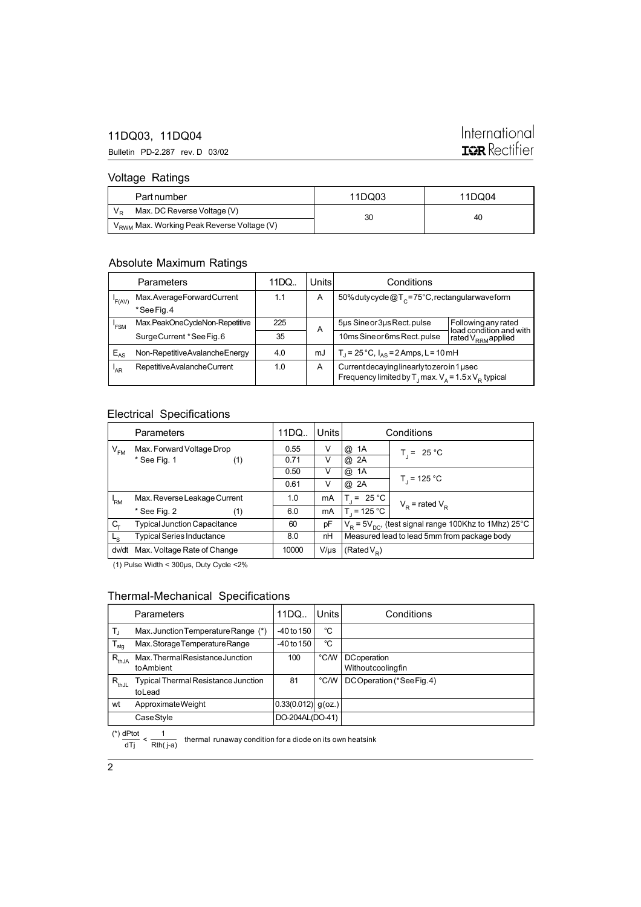#### 11DQ03, 11DQ04

Bulletin PD-2.287 rev. D 03/02

### International **IGR** Rectifier

#### Voltage Ratings

| Part number                                            | 11DQ03 | 11DQ04 |
|--------------------------------------------------------|--------|--------|
| Max. DC Reverse Voltage (V)                            | 30     | 40     |
| V <sub>RWM</sub> Max. Working Peak Reverse Voltage (V) |        |        |

#### Absolute Maximum Ratings

|          | Parameters                     | 11DQ | Unitsl | Conditions                                                                                                             |                                                |
|----------|--------------------------------|------|--------|------------------------------------------------------------------------------------------------------------------------|------------------------------------------------|
| F(AV)    | Max.AverageForwardCurrent      | 1.1  | A      | 50% dutycycle $@T_c = 75^\circ$ C, rectangularwaveform                                                                 |                                                |
|          | *SeeFig.4                      |      |        |                                                                                                                        |                                                |
| 'FSM     | Max.PeakOneCycleNon-Repetitive | 225  | A      | 5µs Sine or 3µs Rect. pulse                                                                                            | Following any rated<br>load condition and with |
|          | Surge Current *See Fig. 6      | 35   |        | 10ms Sine or 6ms Rect. pulse                                                                                           | rated V <sub>RRM</sub> applied                 |
| $E_{AS}$ | Non-RepetitiveAvalancheEnergy  | 4.0  | mJ     | $T_1 = 25^{\circ}C$ , $I_{\Delta S} = 2$ Amps, L = 10 mH                                                               |                                                |
| 'AR      | RepetitiveAvalancheCurrent     | 1.0  | A      | Current decaying linearly to zero in 1 used<br>Frequency limited by T <sub>1</sub> max. $V_a = 1.5 \times V_B$ typical |                                                |

#### Electrical Specifications

|                | Parameters                          | 11DQ <sub>1</sub> | <b>Units</b> | Conditions                                                        |                     |  |
|----------------|-------------------------------------|-------------------|--------------|-------------------------------------------------------------------|---------------------|--|
| $V_{FM}$       | Max. Forward Voltage Drop           | 0.55              | V            | @<br>1A                                                           | $T_i = 25 °C$       |  |
|                | * See Fig. 1<br>(1)                 | 0.71              | V            | @ 2A                                                              |                     |  |
|                |                                     | 0.50              | V            | @<br>1A                                                           |                     |  |
|                |                                     | 0.61              | V            | @<br>2A                                                           | $T_1 = 125 °C$      |  |
| 'RM            | Max. Reverse Leakage Current        | 1.0               | mA           | $= 25 \degree C$<br>Τ.                                            | $V_p$ = rated $V_p$ |  |
|                | * See Fig. 2<br>(1)                 | 6.0               | mA           | $T = 125 °C$                                                      |                     |  |
| C.             | <b>Typical Junction Capacitance</b> | 60                | pF           | $VB$ = 5V <sub>DC</sub> , (test signal range 100Khz to 1Mhz) 25°C |                     |  |
| L <sub>S</sub> | <b>Typical Series Inductance</b>    | 8.0               | nH           | Measured lead to lead 5mm from package body                       |                     |  |
| dv/dt          | Max. Voltage Rate of Change         | 10000             | $V/\mu s$    | (Rated $V_{\rm p}$ )                                              |                     |  |

(1) Pulse Width < 300µs, Duty Cycle <2%

#### Thermal-Mechanical Specifications

|                        | <b>Parameters</b>                                    | 11DQ                 | Units | Conditions                       |
|------------------------|------------------------------------------------------|----------------------|-------|----------------------------------|
| Т,                     | Max. Junction Temperature Range (*)                  | $-40$ to 150         | °C    |                                  |
| $\mathsf{T}_{\sf stg}$ | Max.StorageTemperatureRange                          | $-40$ to $150$       | °C    |                                  |
| $R_{thJA}$             | Max. Thermal Resistance Junction<br>to Ambient       | 100                  | °C/W  | DCoperation<br>Withoutcoolingfin |
| $R_{thJL}$             | <b>Typical Thermal Resistance Junction</b><br>toLead | 81                   | °C/W  | DCOperation (*SeeFig.4)          |
| wt                     | Approximate Weight                                   | $0.33(0.012)$ g(oz.) |       |                                  |
|                        | Case Style                                           | DO-204AL(DO-41)      |       |                                  |

(\*)  $\frac{dPtot}{dTj} < \frac{1}{Rth(j-a)}$  thermal runaway condition for a diode on its own heatsink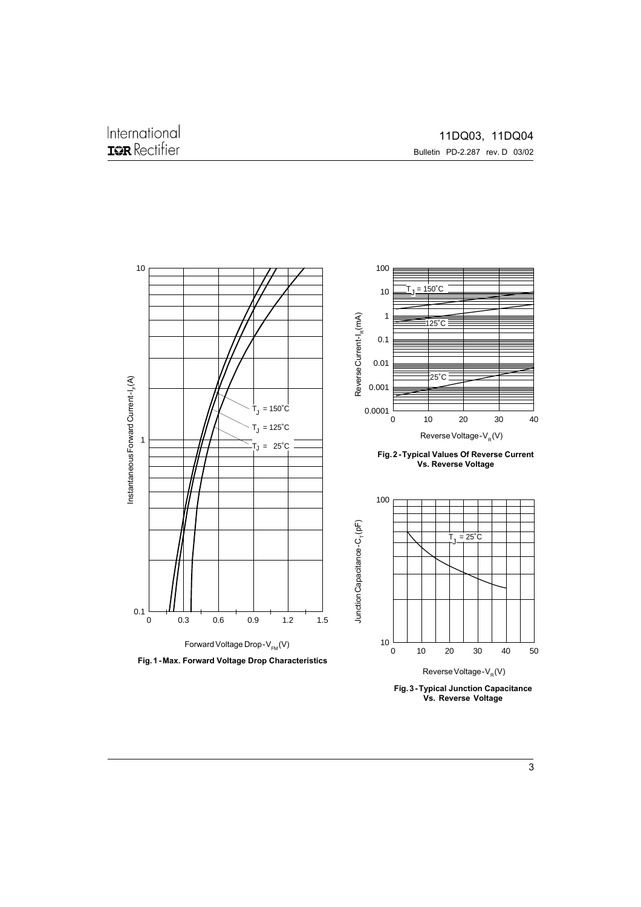

**Fig. 3 - Typical Junction Capacitance Vs. Reverse Voltage**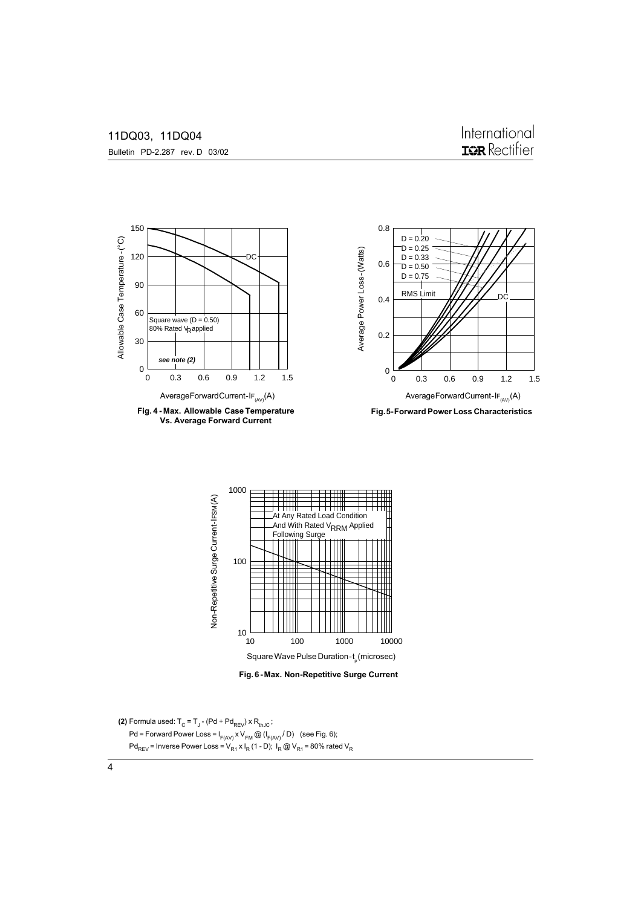Bulletin PD-2.287 rev. D 03/02



**Fig. 4 - Max. Allowable Case Temperature Vs. Average Forward Current**







**(2)** Formula used:  $T_c = T_J - (Pd + Pd_{REV}) \times R_{thJC}$ ; Pd = Forward Power Loss =  $I_{F(AV)} \times V_{FM} \textcircled{a} (I_{F(AV)}/D)$  (see Fig. 6); Pd<sub>REV</sub> = Inverse Power Loss =  $V_{R1}$  x I<sub>R</sub> (1 - D); I<sub>R</sub> @ V<sub>R1</sub> = 80% rated V<sub>R</sub>